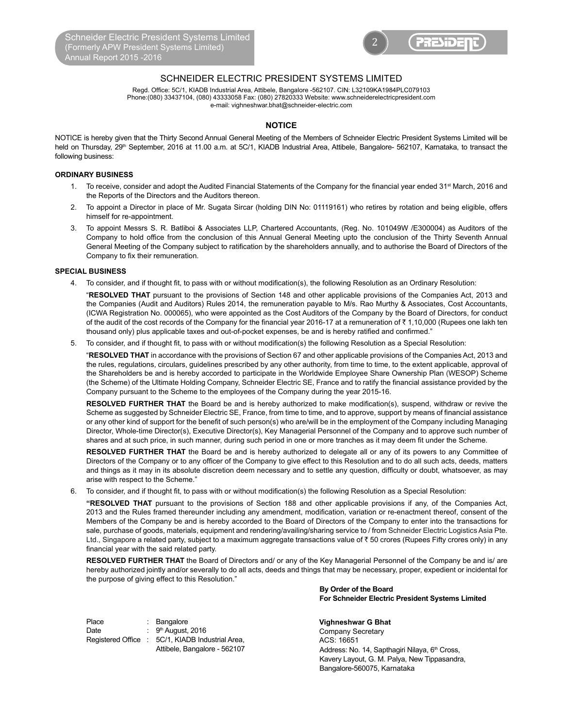

# SCHNEIDER ELECTRIC PRESIDENT SYSTEMS LIMITED

Regd. Office: 5C/1, KIADB Industrial Area, Attibele, Bangalore -562107. CIN: L32109KA1984PLC079103 Phone:(080) 33437104, (080) 43333058 Fax: (080) 27820333 Website: www.schneiderelectricpresident.com e-mail: vighneshwar.bhat@schneider-electric.com

## **NOTICE**

NOTICE is hereby given that the Thirty Second Annual General Meeting of the Members of Schneider Electric President Systems Limited will be held on Thursday, 29<sup>th</sup> September, 2016 at 11.00 a.m. at 5C/1, KIADB Industrial Area, Attibele, Bangalore- 562107, Karnataka, to transact the following business:

## **ORDINARY BUSINESS**

- 1. To receive, consider and adopt the Audited Financial Statements of the Company for the financial year ended 31<sup>st</sup> March, 2016 and the Reports of the Directors and the Auditors thereon.
- 2. To appoint a Director in place of Mr. Sugata Sircar (holding DIN No: 01119161) who retires by rotation and being eligible, offers himself for re-appointment.
- 3. To appoint Messrs S. R. Batliboi & Associates LLP, Chartered Accountants, (Reg. No. 101049W /E300004) as Auditors of the Company to hold office from the conclusion of this Annual General Meeting upto the conclusion of the Thirty Seventh Annual General Meeting of the Company subject to ratification by the shareholders annually, and to authorise the Board of Directors of the Company to fix their remuneration.

### **SPECIAL BUSINESS**

4. To consider, and if thought fit, to pass with or without modification(s), the following Resolution as an Ordinary Resolution:

"RESOLVED THAT pursuant to the provisions of Section 148 and other applicable provisions of the Companies Act, 2013 and the Companies (Audit and Auditors) Rules 2014, the remuneration payable to M/s. Rao Murthy & Associates, Cost Accountants, (ICWA Registration No. 000065), who were appointed as the Cost Auditors of the Company by the Board of Directors, for conduct of the audit of the cost records of the Company for the financial year 2016-17 at a remuneration of  $\bar{\tau}$  1,10,000 (Rupees one lakh ten thousand only) plus applicable taxes and out-of-pocket expenses, be and is hereby ratified and confirmed."

5. To consider, and if thought fit, to pass with or without modification(s) the following Resolution as a Special Resolution:

"RESOLVED THAT in accordance with the provisions of Section 67 and other applicable provisions of the Companies Act, 2013 and the rules, regulations, circulars, guidelines prescribed by any other authority, from time to time, to the extent applicable, approval of the Shareholders be and is hereby accorded to participate in the Worldwide Employee Share Ownership Plan (WESOP) Scheme (the Scheme) of the Ultimate Holding Company, Schneider Electric SE, France and to ratify the financial assistance provided by the Company pursuant to the Scheme to the employees of the Company during the year 2015-16.

**RESOLVED FURTHER THAT** the Board be and is hereby authorized to make modification(s), suspend, withdraw or revive the Scheme as suggested by Schneider Electric SE, France, from time to time, and to approve, support by means of financial assistance or any other kind of support for the benefit of such person(s) who are/will be in the employment of the Company including Managing Director, Whole-time Director(s), Executive Director(s), Key Managerial Personnel of the Company and to approve such number of shares and at such price, in such manner, during such period in one or more tranches as it may deem fit under the Scheme.

RESOLVED FURTHER THAT the Board be and is hereby authorized to delegate all or any of its powers to any Committee of Directors of the Company or to any officer of the Company to give effect to this Resolution and to do all such acts, deeds, matters and things as it may in its absolute discretion deem necessary and to settle any question, difficulty or doubt, whatsoever, as may arise with respect to the Scheme."

6. To consider, and if thought fit, to pass with or without modification(s) the following Resolution as a Special Resolution:

"RESOLVED THAT pursuant to the provisions of Section 188 and other applicable provisions if any, of the Companies Act, 2013 and the Rules framed thereunder including any amendment, modification, variation or re-enactment thereof, consent of the Members of the Company be and is hereby accorded to the Board of Directors of the Company to enter into the transactions for sale, purchase of goods, materials, equipment and rendering/availing/sharing service to / from Schneider Electric Logistics Asia Pte. Ltd., Singapore a related party, subject to a maximum aggregate transactions value of ₹50 crores (Rupees Fifty crores only) in any financial year with the said related party.

RESOLVED FURTHER THAT the Board of Directors and/ or any of the Key Managerial Personnel of the Company be and is/ are hereby authorized jointly and/or severally to do all acts, deeds and things that may be necessary, proper, expedient or incidental for the purpose of giving effect to this Resolution."

 **Vighneshwar G Bhat** Date : 9<sup>th</sup> August, 2016 **COMPANY** Company Secretary Registered Office : 5C/1, KIADB Industrial Area,  $ACS: 16651$ : Bangalore 9<sup>th</sup> August, 2016 Attibele, Bangalore - 562107

**By Order of the Board For Schneider Electric President Systems Limited**

Address: No. 14, Sapthagiri Nilaya, 6<sup>th</sup> Cross, Kavery Layout, G. M. Palya, New Tippasandra, Bangalore-560075, Karnataka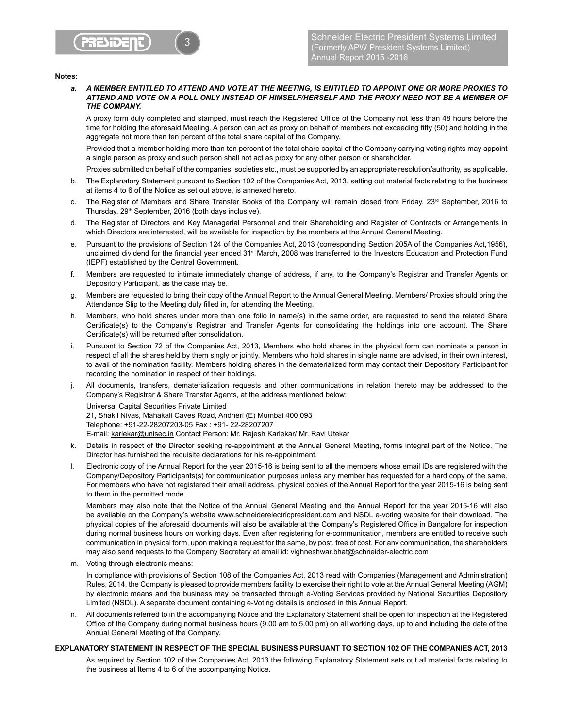

#### **Notes:**

*a. A MEMBER ENTITLED TO ATTEND AND VOTE AT THE MEETING, IS ENTITLED TO APPOINT ONE OR MORE PROXIES TO ATTEND AND VOTE ON A POLL ONLY INSTEAD OF HIMSELF/HERSELF AND THE PROXY NEED NOT BE A MEMBER OF THE COMPANY.*

A proxy form duly completed and stamped, must reach the Registered Office of the Company not less than 48 hours before the time for holding the aforesaid Meeting. A person can act as proxy on behalf of members not exceeding fifty (50) and holding in the aggregate not more than ten percent of the total share capital of the Company.

Provided that a member holding more than ten percent of the total share capital of the Company carrying voting rights may appoint a single person as proxy and such person shall not act as proxy for any other person or shareholder.

Proxies submitted on behalf of the companies, societies etc., must be supported by an appropriate resolution/authority, as applicable.

- b. The Explanatory Statement pursuant to Section 102 of the Companies Act, 2013, setting out material facts relating to the business at items 4 to 6 of the Notice as set out above, is annexed hereto.
- c. The Register of Members and Share Transfer Books of the Company will remain closed from Friday, 23<sup>rd</sup> September, 2016 to Thursday, 29<sup>th</sup> September, 2016 (both days inclusive).
- d. The Register of Directors and Key Managerial Personnel and their Shareholding and Register of Contracts or Arrangements in which Directors are interested, will be available for inspection by the members at the Annual General Meeting.
- e. Pursuant to the provisions of Section 124 of the Companies Act, 2013 (corresponding Section 205A of the Companies Act,1956), unclaimed dividend for the financial year ended 31st March, 2008 was transferred to the Investors Education and Protection Fund (IEPF) established by the Central Government.
- f. Members are requested to intimate immediately change of address, if any, to the Company's Registrar and Transfer Agents or Depository Participant, as the case may be.
- g. Members are requested to bring their copy of the Annual Report to the Annual General Meeting. Members/ Proxies should bring the Attendance Slip to the Meeting duly filled in, for attending the Meeting.
- h. Members, who hold shares under more than one folio in name(s) in the same order, are requested to send the related Share Certificate(s) to the Company's Registrar and Transfer Agents for consolidating the holdings into one account. The Share Certificate(s) will be returned after consolidation.
- i. Pursuant to Section 72 of the Companies Act, 2013, Members who hold shares in the physical form can nominate a person in respect of all the shares held by them singly or jointly. Members who hold shares in single name are advised, in their own interest, to avail of the nomination facility. Members holding shares in the dematerialized form may contact their Depository Participant for recording the nomination in respect of their holdings.
- j. All documents, transfers, dematerialization requests and other communications in relation thereto may be addressed to the Company's Registrar & Share Transfer Agents, at the address mentioned below:

 Universal Capital Securities Private Limited 21, Shakil Nivas, Mahakali Caves Road, Andheri (E) Mumbai 400 093 Telephone: +91-22-28207203-05 Fax: +91- 22-28207207 E-mail: karlekar@unisec.in Contact Person: Mr. Rajesh Karlekar/ Mr. Ravi Utekar

- k. Details in respect of the Director seeking re-appointment at the Annual General Meeting, forms integral part of the Notice. The Director has furnished the requisite declarations for his re-appointment.
- I. Electronic copy of the Annual Report for the year 2015-16 is being sent to all the members whose email IDs are registered with the Company/Depository Participants(s) for communication purposes unless any member has requested for a hard copy of the same. For members who have not registered their email address, physical copies of the Annual Report for the year 2015-16 is being sent to them in the permitted mode.

Members may also note that the Notice of the Annual General Meeting and the Annual Report for the year 2015-16 will also be available on the Company's website www.schneiderelectricpresident.com and NSDL e-voting website for their download. The physical copies of the aforesaid documents will also be available at the Company's Registered Office in Bangalore for inspection during normal business hours on working days. Even after registering for e-communication, members are entitled to receive such communication in physical form, upon making a request for the same, by post, free of cost. For any communication, the shareholders may also send requests to the Company Secretary at email id: vighneshwar.bhat@schneider-electric.com

m. Voting through electronic means:

In compliance with provisions of Section 108 of the Companies Act, 2013 read with Companies (Management and Administration) Rules, 2014, the Company is pleased to provide members facility to exercise their right to vote at the Annual General Meeting (AGM) by electronic means and the business may be transacted through e-Voting Services provided by National Securities Depository Limited (NSDL). A separate document containing e-Voting details is enclosed in this Annual Report.

n. All documents referred to in the accompanying Notice and the Explanatory Statement shall be open for inspection at the Registered Office of the Company during normal business hours (9.00 am to 5.00 pm) on all working days, up to and including the date of the Annual General Meeting of the Company.

## **EXPLANATORY STATEMENT IN RESPECT OF THE SPECIAL BUSINESS PURSUANT TO SECTION 102 OF THE COMPANIES ACT, 2013**

As required by Section 102 of the Companies Act, 2013 the following Explanatory Statement sets out all material facts relating to the business at Items 4 to 6 of the accompanying Notice.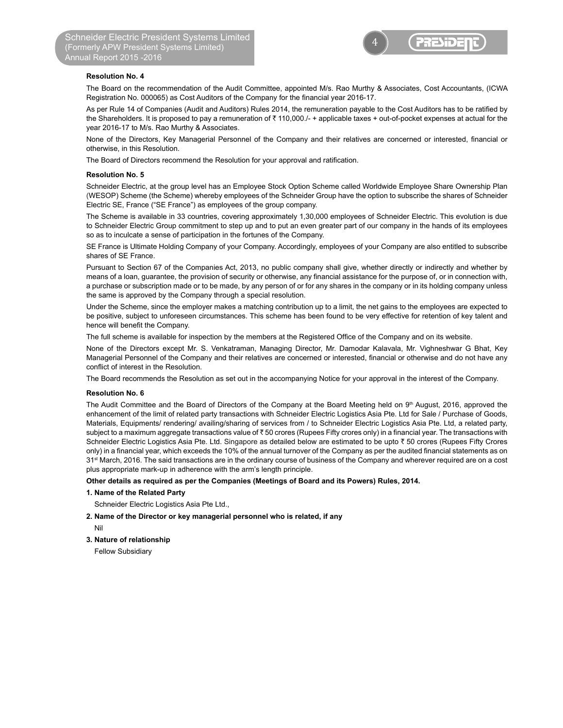

### **Resolution No. 4**

 The Board on the recommendation of the Audit Committee, appointed M/s. Rao Murthy & Associates, Cost Accountants, (ICWA Registration No. 000065) as Cost Auditors of the Company for the financial year 2016-17.

As per Rule 14 of Companies (Audit and Auditors) Rules 2014, the remuneration payable to the Cost Auditors has to be ratified by the Shareholders. It is proposed to pay a remuneration of  $\bar{\tau}$  110,000./- + applicable taxes + out-of-pocket expenses at actual for the year 2016-17 to M/s. Rao Murthy & Associates.

None of the Directors, Key Managerial Personnel of the Company and their relatives are concerned or interested, financial or otherwise, in this Resolution.

The Board of Directors recommend the Resolution for your approval and ratification.

#### **Resolution No. 5**

Schneider Electric, at the group level has an Employee Stock Option Scheme called Worldwide Employee Share Ownership Plan (WESOP) Scheme (the Scheme) whereby employees of the Schneider Group have the option to subscribe the shares of Schneider Electric SE, France ("SE France") as employees of the group company.

The Scheme is available in 33 countries, covering approximately 1,30,000 employees of Schneider Electric. This evolution is due to Schneider Electric Group commitment to step up and to put an even greater part of our company in the hands of its employees so as to inculcate a sense of participation in the fortunes of the Company.

SE France is Ultimate Holding Company of your Company. Accordingly, employees of your Company are also entitled to subscribe shares of SE France.

Pursuant to Section 67 of the Companies Act, 2013, no public company shall give, whether directly or indirectly and whether by means of a loan, guarantee, the provision of security or otherwise, any financial assistance for the purpose of, or in connection with, a purchase or subscription made or to be made, by any person of or for any shares in the company or in its holding company unless the same is approved by the Company through a special resolution.

Under the Scheme, since the employer makes a matching contribution up to a limit, the net gains to the employees are expected to be positive, subject to unforeseen circumstances. This scheme has been found to be very effective for retention of key talent and hence will benefit the Company.

The full scheme is available for inspection by the members at the Registered Office of the Company and on its website.

None of the Directors except Mr. S. Venkatraman, Managing Director, Mr. Damodar Kalavala, Mr. Vighneshwar G Bhat, Key Managerial Personnel of the Company and their relatives are concerned or interested, financial or otherwise and do not have any conflict of interest in the Resolution.

The Board recommends the Resolution as set out in the accompanying Notice for your approval in the interest of the Company.

#### **Resolution No. 6**

The Audit Committee and the Board of Directors of the Company at the Board Meeting held on 9<sup>th</sup> August, 2016, approved the enhancement of the limit of related party transactions with Schneider Electric Logistics Asia Pte. Ltd for Sale / Purchase of Goods, Materials, Equipments/ rendering/ availing/sharing of services from / to Schneider Electric Logistics Asia Pte. Ltd, a related party, subject to a maximum aggregate transactions value of ₹50 crores (Rupees Fifty crores only) in a financial year. The transactions with Schneider Electric Logistics Asia Pte. Ltd. Singapore as detailed below are estimated to be upto ₹50 crores (Rupees Fifty Crores only) in a financial year, which exceeds the 10% of the annual turnover of the Company as per the audited financial statements as on 31<sup>st</sup> March, 2016. The said transactions are in the ordinary course of business of the Company and wherever required are on a cost plus appropriate mark-up in adherence with the arm's length principle.

#### **Other details as required as per the Companies (Meetings of Board and its Powers) Rules, 2014.**

#### **1. Name of the Related Party**

Schneider Electric Logistics Asia Pte Ltd.,

- **2. Name of the Director or key managerial personnel who is related, if any**
- Nil

#### **3. Nature of relationship**

Fellow Subsidiary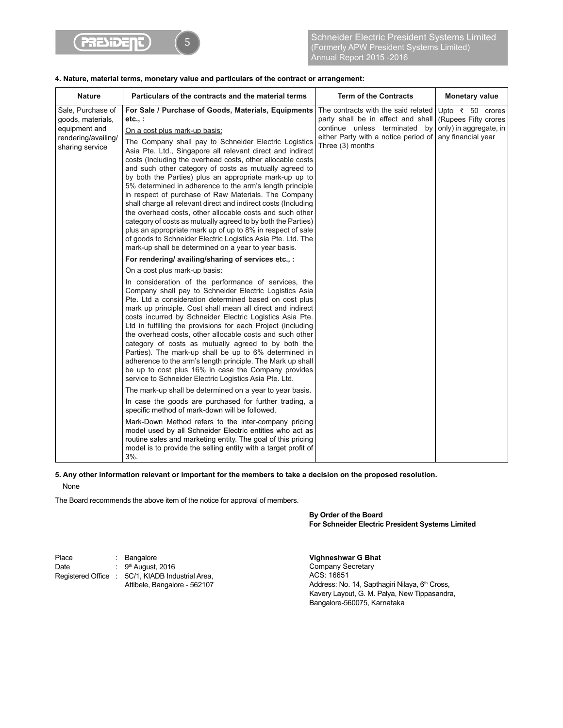

## **4. Nature, material terms, monetary value and particulars of the contract or arrangement:**

| <b>Nature</b>                                                                                     | Particulars of the contracts and the material terms                                                                                                                                                                                                                                                                                                                                                                                                                                                                                                                                                                                                                                                                                                                                                                                                                                                                                                                                                                                                                                                                                                                                                 | <b>Term of the Contracts</b>                                                                                                                                              | <b>Monetary value</b>                                                                          |
|---------------------------------------------------------------------------------------------------|-----------------------------------------------------------------------------------------------------------------------------------------------------------------------------------------------------------------------------------------------------------------------------------------------------------------------------------------------------------------------------------------------------------------------------------------------------------------------------------------------------------------------------------------------------------------------------------------------------------------------------------------------------------------------------------------------------------------------------------------------------------------------------------------------------------------------------------------------------------------------------------------------------------------------------------------------------------------------------------------------------------------------------------------------------------------------------------------------------------------------------------------------------------------------------------------------------|---------------------------------------------------------------------------------------------------------------------------------------------------------------------------|------------------------------------------------------------------------------------------------|
| Sale, Purchase of<br>goods, materials,<br>equipment and<br>rendering/availing/<br>sharing service | For Sale / Purchase of Goods, Materials, Equipments<br>etc.,:<br>On a cost plus mark-up basis:<br>The Company shall pay to Schneider Electric Logistics<br>Asia Pte. Ltd., Singapore all relevant direct and indirect<br>costs (Including the overhead costs, other allocable costs<br>and such other category of costs as mutually agreed to<br>by both the Parties) plus an appropriate mark-up up to<br>5% determined in adherence to the arm's length principle<br>in respect of purchase of Raw Materials. The Company<br>shall charge all relevant direct and indirect costs (Including<br>the overhead costs, other allocable costs and such other<br>category of costs as mutually agreed to by both the Parties)<br>plus an appropriate mark up of up to 8% in respect of sale<br>of goods to Schneider Electric Logistics Asia Pte. Ltd. The<br>mark-up shall be determined on a year to year basis.                                                                                                                                                                                                                                                                                      | The contracts with the said related<br>party shall be in effect and shall<br>continue unless terminated<br>bv<br>either Party with a notice period of<br>Three (3) months | Upto ₹ 50 crores<br><b>Rupees Fifty crores</b><br>only) in aggregate, in<br>any financial year |
|                                                                                                   | For rendering/ availing/sharing of services etc., :                                                                                                                                                                                                                                                                                                                                                                                                                                                                                                                                                                                                                                                                                                                                                                                                                                                                                                                                                                                                                                                                                                                                                 |                                                                                                                                                                           |                                                                                                |
|                                                                                                   | On a cost plus mark-up basis:<br>In consideration of the performance of services, the<br>Company shall pay to Schneider Electric Logistics Asia<br>Pte. Ltd a consideration determined based on cost plus<br>mark up principle. Cost shall mean all direct and indirect<br>costs incurred by Schneider Electric Logistics Asia Pte.<br>Ltd in fulfilling the provisions for each Project (including<br>the overhead costs, other allocable costs and such other<br>category of costs as mutually agreed to by both the<br>Parties). The mark-up shall be up to 6% determined in<br>adherence to the arm's length principle. The Mark up shall<br>be up to cost plus 16% in case the Company provides<br>service to Schneider Electric Logistics Asia Pte. Ltd.<br>The mark-up shall be determined on a year to year basis.<br>In case the goods are purchased for further trading, a<br>specific method of mark-down will be followed.<br>Mark-Down Method refers to the inter-company pricing<br>model used by all Schneider Electric entities who act as<br>routine sales and marketing entity. The goal of this pricing<br>model is to provide the selling entity with a target profit of<br>3%. |                                                                                                                                                                           |                                                                                                |

## **5. Any other information relevant or important for the members to take a decision on the proposed resolution.**

None

The Board recommends the above item of the notice for approval of members.

**By Order of the Board For Schneider Electric President Systems Limited**

Place : Bangalore<br>Date : 9<sup>th</sup> August, :  $9<sup>th</sup>$  August, 2016 Registered Office : 5C/1, KIADB Industrial Area, Attibele, Bangalore - 562107 **Vighneshwar G Bhat** 

Company Secretary ACS: 16651 Address: No. 14, Sapthagiri Nilaya, 6<sup>th</sup> Cross, Kavery Layout, G. M. Palya, New Tippasandra, Bangalore-560075, Karnataka